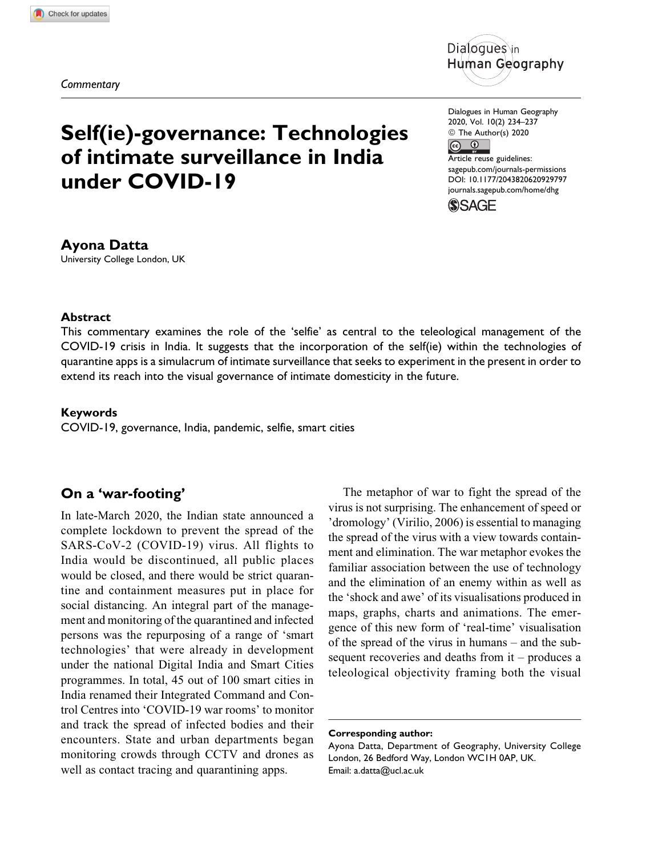Commentary



# Self(ie)-governance: Technologies of intimate surveillance in India under COVID-19

Ayona Datta University College London, UK

Dialogues in Human Geography 2020, Vol. 10(2) 234–237 © The Author(s) 2020  $\odot$  $\overline{0}$ Article reuse guidelines: [sagepub.com/journals-permissions](https://sagepub.com/journals-permissions) [DOI: 10.1177/2043820620929797](https://doi.org/10.1177/2043820620929797) [journals.sagepub.com/home/dhg](http://journals.sagepub.com/home/dhg)



## Abstract

This commentary examines the role of the 'selfie' as central to the teleological management of the COVID-19 crisis in India. It suggests that the incorporation of the self(ie) within the technologies of quarantine apps is a simulacrum of intimate surveillance that seeks to experiment in the present in order to extend its reach into the visual governance of intimate domesticity in the future.

#### Keywords

COVID-19, governance, India, pandemic, selfie, smart cities

## On a 'war-footing'

In late-March 2020, the Indian state announced a complete lockdown to prevent the spread of the SARS-CoV-2 (COVID-19) virus. All flights to India would be discontinued, all public places would be closed, and there would be strict quarantine and containment measures put in place for social distancing. An integral part of the management and monitoring of the quarantined and infected persons was the repurposing of a range of 'smart technologies' that were already in development under the national Digital India and Smart Cities programmes. In total, 45 out of 100 smart cities in India renamed their Integrated Command and Control Centres into 'COVID-19 war rooms' to monitor and track the spread of infected bodies and their encounters. State and urban departments began monitoring crowds through CCTV and drones as well as contact tracing and quarantining apps.

The metaphor of war to fight the spread of the virus is not surprising. The enhancement of speed or 'dromology' (Virilio, 2006) is essential to managing the spread of the virus with a view towards containment and elimination. The war metaphor evokes the familiar association between the use of technology and the elimination of an enemy within as well as the 'shock and awe' of its visualisations produced in maps, graphs, charts and animations. The emergence of this new form of 'real-time' visualisation of the spread of the virus in humans – and the subsequent recoveries and deaths from it – produces a teleological objectivity framing both the visual

Corresponding author:

Ayona Datta, Department of Geography, University College London, 26 Bedford Way, London WC1H 0AP, UK. Email: [a.datta@ucl.ac.uk](mailto:a.datta@ucl.ac.uk)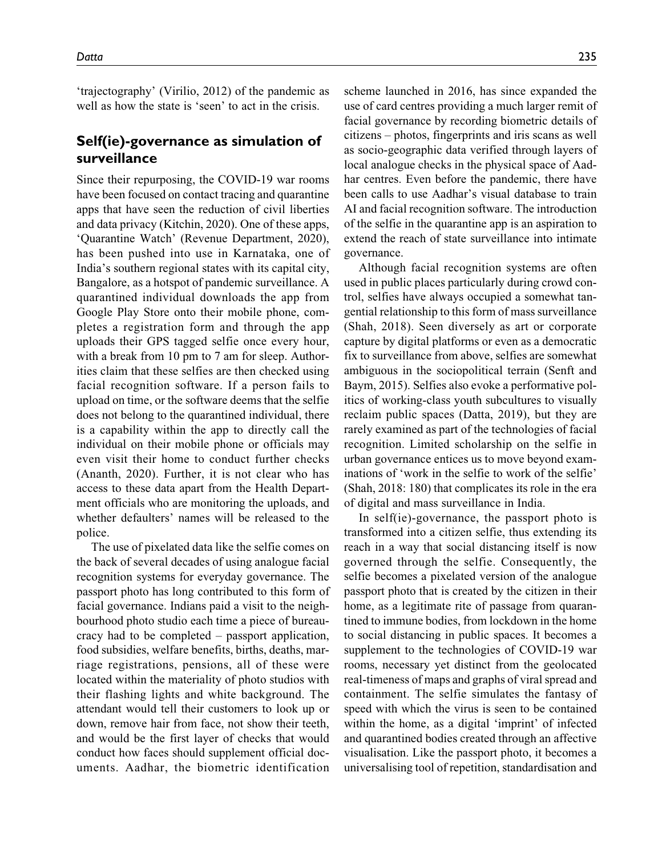'trajectography' (Virilio, 2012) of the pandemic as well as how the state is 'seen' to act in the crisis.

## Self(ie)-governance as simulation of surveillance

Since their repurposing, the COVID-19 war rooms have been focused on contact tracing and quarantine apps that have seen the reduction of civil liberties and data privacy (Kitchin, 2020). One of these apps, 'Quarantine Watch' (Revenue Department, 2020), has been pushed into use in Karnataka, one of India's southern regional states with its capital city, Bangalore, as a hotspot of pandemic surveillance. A quarantined individual downloads the app from Google Play Store onto their mobile phone, completes a registration form and through the app uploads their GPS tagged selfie once every hour, with a break from 10 pm to 7 am for sleep. Authorities claim that these selfies are then checked using facial recognition software. If a person fails to upload on time, or the software deems that the selfie does not belong to the quarantined individual, there is a capability within the app to directly call the individual on their mobile phone or officials may even visit their home to conduct further checks (Ananth, 2020). Further, it is not clear who has access to these data apart from the Health Department officials who are monitoring the uploads, and whether defaulters' names will be released to the police.

The use of pixelated data like the selfie comes on the back of several decades of using analogue facial recognition systems for everyday governance. The passport photo has long contributed to this form of facial governance. Indians paid a visit to the neighbourhood photo studio each time a piece of bureaucracy had to be completed – passport application, food subsidies, welfare benefits, births, deaths, marriage registrations, pensions, all of these were located within the materiality of photo studios with their flashing lights and white background. The attendant would tell their customers to look up or down, remove hair from face, not show their teeth, and would be the first layer of checks that would conduct how faces should supplement official documents. Aadhar, the biometric identification

scheme launched in 2016, has since expanded the use of card centres providing a much larger remit of facial governance by recording biometric details of citizens – photos, fingerprints and iris scans as well as socio-geographic data verified through layers of local analogue checks in the physical space of Aadhar centres. Even before the pandemic, there have been calls to use Aadhar's visual database to train AI and facial recognition software. The introduction of the selfie in the quarantine app is an aspiration to extend the reach of state surveillance into intimate governance.

Although facial recognition systems are often used in public places particularly during crowd control, selfies have always occupied a somewhat tangential relationship to this form of mass surveillance (Shah, 2018). Seen diversely as art or corporate capture by digital platforms or even as a democratic fix to surveillance from above, selfies are somewhat ambiguous in the sociopolitical terrain (Senft and Baym, 2015). Selfies also evoke a performative politics of working-class youth subcultures to visually reclaim public spaces (Datta, 2019), but they are rarely examined as part of the technologies of facial recognition. Limited scholarship on the selfie in urban governance entices us to move beyond examinations of 'work in the selfie to work of the selfie' (Shah, 2018: 180) that complicates its role in the era of digital and mass surveillance in India.

In self(ie)-governance, the passport photo is transformed into a citizen selfie, thus extending its reach in a way that social distancing itself is now governed through the selfie. Consequently, the selfie becomes a pixelated version of the analogue passport photo that is created by the citizen in their home, as a legitimate rite of passage from quarantined to immune bodies, from lockdown in the home to social distancing in public spaces. It becomes a supplement to the technologies of COVID-19 war rooms, necessary yet distinct from the geolocated real-timeness of maps and graphs of viral spread and containment. The selfie simulates the fantasy of speed with which the virus is seen to be contained within the home, as a digital 'imprint' of infected and quarantined bodies created through an affective visualisation. Like the passport photo, it becomes a universalising tool of repetition, standardisation and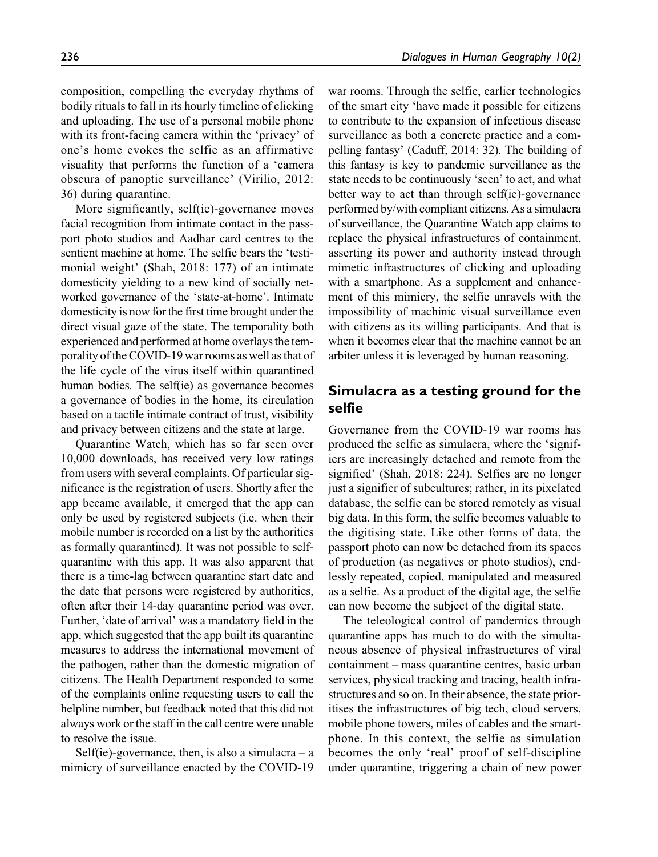composition, compelling the everyday rhythms of bodily rituals to fall in its hourly timeline of clicking and uploading. The use of a personal mobile phone with its front-facing camera within the 'privacy' of one's home evokes the selfie as an affirmative visuality that performs the function of a 'camera obscura of panoptic surveillance' (Virilio, 2012: 36) during quarantine.

More significantly, self(ie)-governance moves facial recognition from intimate contact in the passport photo studios and Aadhar card centres to the sentient machine at home. The selfie bears the 'testimonial weight' (Shah, 2018: 177) of an intimate domesticity yielding to a new kind of socially networked governance of the 'state-at-home'. Intimate domesticity is now for the first time brought under the direct visual gaze of the state. The temporality both experienced and performed at home overlays the temporality of the COVID-19 war rooms as well as that of the life cycle of the virus itself within quarantined human bodies. The self(ie) as governance becomes a governance of bodies in the home, its circulation based on a tactile intimate contract of trust, visibility and privacy between citizens and the state at large.

Quarantine Watch, which has so far seen over 10,000 downloads, has received very low ratings from users with several complaints. Of particular significance is the registration of users. Shortly after the app became available, it emerged that the app can only be used by registered subjects (i.e. when their mobile number is recorded on a list by the authorities as formally quarantined). It was not possible to selfquarantine with this app. It was also apparent that there is a time-lag between quarantine start date and the date that persons were registered by authorities, often after their 14-day quarantine period was over. Further, 'date of arrival' was a mandatory field in the app, which suggested that the app built its quarantine measures to address the international movement of the pathogen, rather than the domestic migration of citizens. The Health Department responded to some of the complaints online requesting users to call the helpline number, but feedback noted that this did not always work or the staff in the call centre were unable to resolve the issue.

Self(ie)-governance, then, is also a simulacra  $-$  a mimicry of surveillance enacted by the COVID-19

war rooms. Through the selfie, earlier technologies of the smart city 'have made it possible for citizens to contribute to the expansion of infectious disease surveillance as both a concrete practice and a compelling fantasy' (Caduff, 2014: 32). The building of this fantasy is key to pandemic surveillance as the state needs to be continuously 'seen' to act, and what better way to act than through self(ie)-governance performed by/with compliant citizens. As a simulacra of surveillance, the Quarantine Watch app claims to replace the physical infrastructures of containment, asserting its power and authority instead through mimetic infrastructures of clicking and uploading with a smartphone. As a supplement and enhancement of this mimicry, the selfie unravels with the impossibility of machinic visual surveillance even with citizens as its willing participants. And that is when it becomes clear that the machine cannot be an arbiter unless it is leveraged by human reasoning.

## Simulacra as a testing ground for the selfie

Governance from the COVID-19 war rooms has produced the selfie as simulacra, where the 'signifiers are increasingly detached and remote from the signified' (Shah, 2018: 224). Selfies are no longer just a signifier of subcultures; rather, in its pixelated database, the selfie can be stored remotely as visual big data. In this form, the selfie becomes valuable to the digitising state. Like other forms of data, the passport photo can now be detached from its spaces of production (as negatives or photo studios), endlessly repeated, copied, manipulated and measured as a selfie. As a product of the digital age, the selfie can now become the subject of the digital state.

The teleological control of pandemics through quarantine apps has much to do with the simultaneous absence of physical infrastructures of viral containment – mass quarantine centres, basic urban services, physical tracking and tracing, health infrastructures and so on. In their absence, the state prioritises the infrastructures of big tech, cloud servers, mobile phone towers, miles of cables and the smartphone. In this context, the selfie as simulation becomes the only 'real' proof of self-discipline under quarantine, triggering a chain of new power